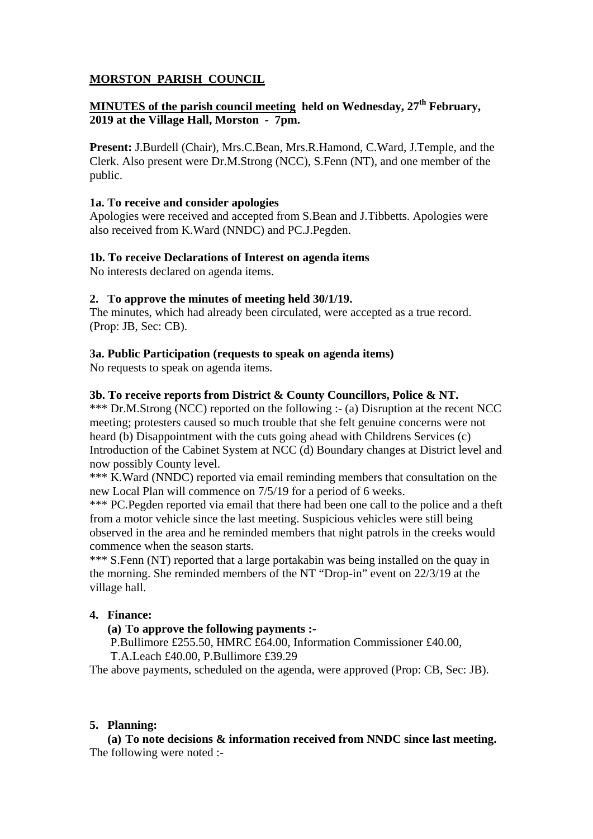# **MORSTON PARISH COUNCIL**

# **MINUTES of the parish council meeting held on Wednesday, 27<sup>th</sup> February, 2019 at the Village Hall, Morston - 7pm.**

**Present:** J.Burdell (Chair), Mrs.C.Bean, Mrs.R.Hamond, C.Ward, J.Temple, and the Clerk. Also present were Dr.M.Strong (NCC), S.Fenn (NT), and one member of the public.

### **1a. To receive and consider apologies**

Apologies were received and accepted from S.Bean and J.Tibbetts. Apologies were also received from K.Ward (NNDC) and PC.J.Pegden.

# **1b. To receive Declarations of Interest on agenda items**

No interests declared on agenda items.

# **2. To approve the minutes of meeting held 30/1/19.**

The minutes, which had already been circulated, were accepted as a true record. (Prop: JB, Sec: CB).

# **3a. Public Participation (requests to speak on agenda items)**

No requests to speak on agenda items.

# **3b. To receive reports from District & County Councillors, Police & NT.**

\*\*\* Dr.M.Strong (NCC) reported on the following :- (a) Disruption at the recent NCC meeting; protesters caused so much trouble that she felt genuine concerns were not heard (b) Disappointment with the cuts going ahead with Childrens Services (c) Introduction of the Cabinet System at NCC (d) Boundary changes at District level and now possibly County level.

\*\*\* K.Ward (NNDC) reported via email reminding members that consultation on the new Local Plan will commence on 7/5/19 for a period of 6 weeks.

\*\*\* PC. Pegden reported via email that there had been one call to the police and a theft from a motor vehicle since the last meeting. Suspicious vehicles were still being observed in the area and he reminded members that night patrols in the creeks would commence when the season starts.

\*\*\* S.Fenn (NT) reported that a large portakabin was being installed on the quay in the morning. She reminded members of the NT "Drop-in" event on 22/3/19 at the village hall.

# **4. Finance:**

### **(a) To approve the following payments :-**

P.Bullimore £255.50, HMRC £64.00, Information Commissioner £40.00, T.A.Leach £40.00, P.Bullimore £39.29

The above payments, scheduled on the agenda, were approved (Prop: CB, Sec: JB).

### **5. Planning:**

**(a) To note decisions & information received from NNDC since last meeting.**  The following were noted :-